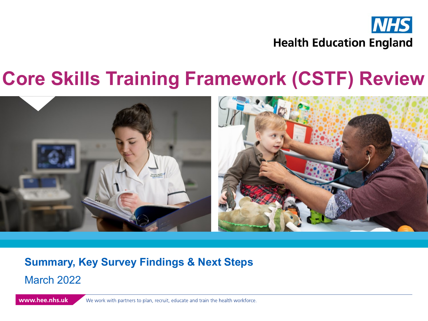

### **Core Skills Training Framework (CSTF) Review**



### **Summary, Key Survey Findings & Next Steps** March 2022

www.hee.nhs.uk We work with partners to plan, recruit, educate and train the health workforce.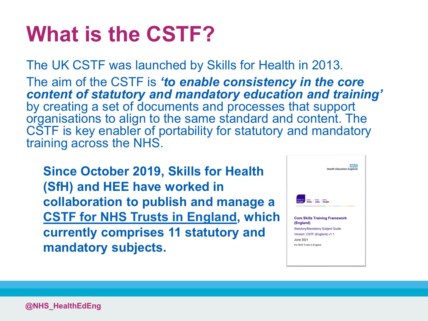# **What is the CSTF?**

The UK CSTF was launched by Skills for Health in 2013. The aim of the CSTF is *'to enable consistency in the core content of statutory and mandatory education and training'*  by creating a set of documents and processes that support organisations to align to the same standard and content. The CSTF is key enabler of portability for statutory and mandatory training across the NHS.

**Since October 2019, Skills for Health (SfH) and HEE have worked in collaboration to publish and manage a [CSTF for NHS Trusts in England,](https://skillsforhealth.org.uk/info-hub/core-skills-training-framework-cstf-and-enabling-staff-movement-in-nhs-trusts-in-england/) which currently comprises 11 statutory and mandatory subjects.** 

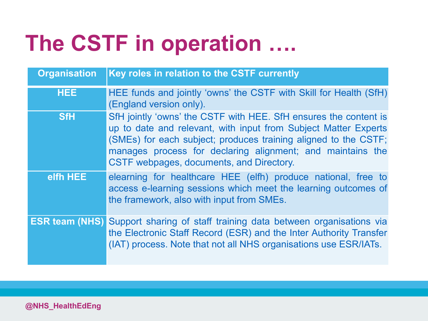# **The CSTF in operation ….**

| <b>Organisation</b>   | Key roles in relation to the CSTF currently                                                                                                                                                                                                                                                                      |
|-----------------------|------------------------------------------------------------------------------------------------------------------------------------------------------------------------------------------------------------------------------------------------------------------------------------------------------------------|
| <b>HEE</b>            | HEE funds and jointly 'owns' the CSTF with Skill for Health (SfH)<br>(England version only).                                                                                                                                                                                                                     |
| <b>SfH</b>            | SfH jointly 'owns' the CSTF with HEE. SfH ensures the content is<br>up to date and relevant, with input from Subject Matter Experts<br>(SMEs) for each subject; produces training aligned to the CSTF;<br>manages process for declaring alignment; and maintains the<br>CSTF webpages, documents, and Directory. |
| elfh HEE              | elearning for healthcare HEE (elfh) produce national, free to<br>access e-learning sessions which meet the learning outcomes of<br>the framework, also with input from SMEs.                                                                                                                                     |
| <b>ESR team (NHS)</b> | Support sharing of staff training data between organisations via<br>the Electronic Staff Record (ESR) and the Inter Authority Transfer<br>(IAT) process. Note that not all NHS organisations use ESR/IATs.                                                                                                       |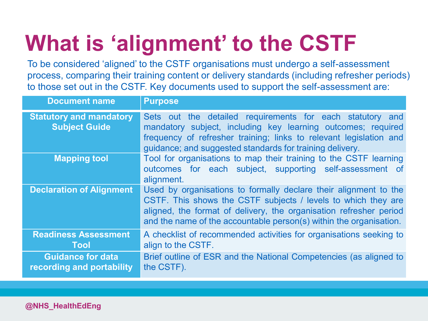# **What is 'alignment' to the CSTF**

To be considered 'aligned' to the CSTF organisations must undergo a self-assessment process, comparing their training content or delivery standards (including refresher periods) to those set out in the CSTF. Key documents used to support the self-assessment are:

| <b>Document name</b>                                   | <b>Purpose</b>                                                                                                                                                                                                                                                                |  |  |
|--------------------------------------------------------|-------------------------------------------------------------------------------------------------------------------------------------------------------------------------------------------------------------------------------------------------------------------------------|--|--|
| <b>Statutory and mandatory</b><br><b>Subject Guide</b> | Sets out the detailed requirements for each statutory and<br>mandatory subject, including key learning outcomes; required<br>frequency of refresher training; links to relevant legislation and<br>guidance; and suggested standards for training delivery.                   |  |  |
| <b>Mapping tool</b>                                    | Tool for organisations to map their training to the CSTF learning<br>outcomes for each subject, supporting self-assessment of<br>alignment.                                                                                                                                   |  |  |
| <b>Declaration of Alignment</b>                        | Used by organisations to formally declare their alignment to the<br>CSTF. This shows the CSTF subjects / levels to which they are<br>aligned, the format of delivery, the organisation refresher period<br>and the name of the accountable person(s) within the organisation. |  |  |
| <b>Readiness Assessment</b><br>Tool                    | A checklist of recommended activities for organisations seeking to<br>align to the CSTF.                                                                                                                                                                                      |  |  |
| <b>Guidance for data</b><br>recording and portability  | Brief outline of ESR and the National Competencies (as aligned to<br>the CSTF).                                                                                                                                                                                               |  |  |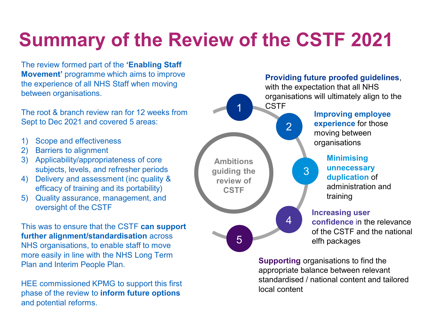### **Summary of the Review of the CSTF 2021**

The review formed part of the **'Enabling Staff Movement'** programme which aims to improve the experience of all NHS Staff when moving between organisations.

The root & branch review ran for 12 weeks from Sept to Dec 2021 and covered 5 areas:

- 1) Scope and effectiveness
- 2) Barriers to alignment
- 3) Applicability/appropriateness of core subjects, levels, and refresher periods
- 4) Delivery and assessment (inc quality & efficacy of training and its portability)
- 5) Quality assurance, management, and oversight of the CSTF

This was to ensure that the CSTF **can support further alignment/standardisation** across NHS organisations, to enable staff to move more easily in line with the NHS Long Term Plan and Interim People Plan.

HEE commissioned KPMG to support this first phase of the review to **inform future options** and potential reforms.

#### organisations will ultimately align to the CSTF **Improving employee experience** for those moving between organisations **Minimising unnecessary duplication** of administration and training **Increasing user confidence** in the relevance of the CSTF and the national elfh packages **Ambitions guiding the review of CSTF** 1 2 3 4 5

**Supporting** organisations to find the appropriate balance between relevant standardised / national content and tailored local content

**Providing future proofed guidelines**, with the expectation that all NHS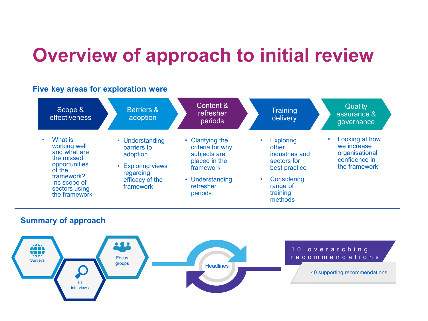### **Overview of approach to initial review**

#### **Five key areas for exploration were**



### **Summary of approach**

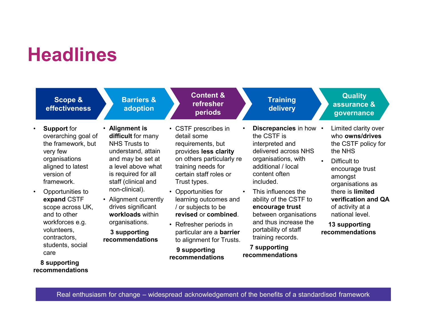### **Headlines**

|                                                                                                                   | Scope &<br>effectiveness                                                                                                                                                                                         | <b>Barriers &amp;</b><br>adoption                                                                                                                                                                                                                                                                              | <b>Content &amp;</b><br>refresher<br>periods                                                                                                                                                                                                                                                                                                                                                              | <b>Training</b><br>delivery                                                                                                                                                                                                                                                                                                                                                    | <b>Quality</b><br>assurance &<br>governance                                                                                                                                                                                                                       |
|-------------------------------------------------------------------------------------------------------------------|------------------------------------------------------------------------------------------------------------------------------------------------------------------------------------------------------------------|----------------------------------------------------------------------------------------------------------------------------------------------------------------------------------------------------------------------------------------------------------------------------------------------------------------|-----------------------------------------------------------------------------------------------------------------------------------------------------------------------------------------------------------------------------------------------------------------------------------------------------------------------------------------------------------------------------------------------------------|--------------------------------------------------------------------------------------------------------------------------------------------------------------------------------------------------------------------------------------------------------------------------------------------------------------------------------------------------------------------------------|-------------------------------------------------------------------------------------------------------------------------------------------------------------------------------------------------------------------------------------------------------------------|
| <b>Support</b> for<br>very few<br>version of<br>framework.<br>volunteers.<br>contractors,<br>care<br>8 supporting | overarching goal of<br>the framework, but<br>organisations<br>aligned to latest<br>Opportunities to<br>expand CSTF<br>scope across UK.<br>and to other<br>workforces e.g.<br>students, social<br>recommendations | • Alignment is<br>difficult for many<br>NHS Trusts to<br>understand, attain<br>and may be set at<br>a level above what<br>is required for all<br>staff (clinical and<br>non-clinical).<br>• Alignment currently<br>drives significant<br>workloads within<br>organisations.<br>3 supporting<br>recommendations | • CSTF prescribes in<br>detail some<br>requirements, but<br>provides less clarity<br>on others particularly re<br>training needs for<br>certain staff roles or<br>Trust types.<br>• Opportunities for<br>learning outcomes and<br>/ or subjects to be<br>revised or combined.<br>• Refresher periods in<br>particular are a <b>barrier</b><br>to alignment for Trusts.<br>9 supporting<br>recommendations | Discrepancies in how .<br>the CSTF is<br>interpreted and<br>delivered across NHS<br>organisations, with<br>additional / local<br>content often<br>included.<br>This influences the<br>$\bullet$<br>ability of the CSTF to<br>encourage trust<br>between organisations<br>and thus increase the<br>portability of staff<br>training records.<br>7 supporting<br>recommendations | Limited clarity over<br>who owns/drives<br>the CSTF policy for<br>the NHS<br>Difficult to<br>encourage trust<br>amongst<br>organisations as<br>there is limited<br>verification and QA<br>of activity at a<br>national level.<br>13 supporting<br>recommendations |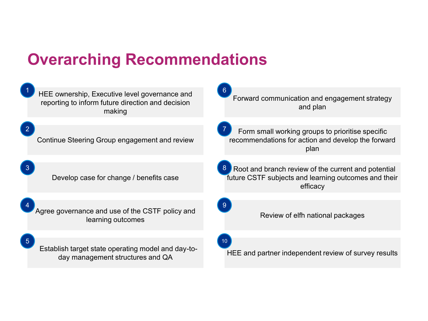### **Overarching Recommendations**

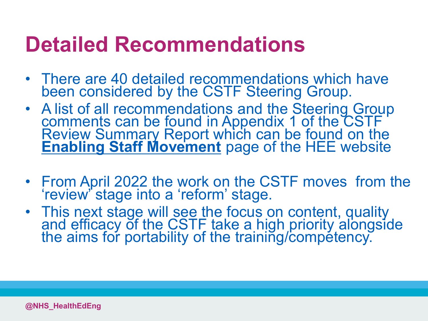### **Detailed Recommendations**

- There are 40 detailed recommendations which have been considered by the CSTF Steering Group.
- A list of all recommendations and the Steering Group comments can be found in Appendix 1 of the CSTF Review Summary Report which can be found on the **[Enabling Staff Movement](https://www.hee.nhs.uk/our-work/doctors-training/enabling-staff-movement-doctors-training)** page of the HEE website
- From April 2022 the work on the CSTF moves from the 'review' stage into a 'reform' stage.
- This next stage will see the focus on content, quality and efficacy of the CSTF take a high priority alongside the aims for portability of the training/competency.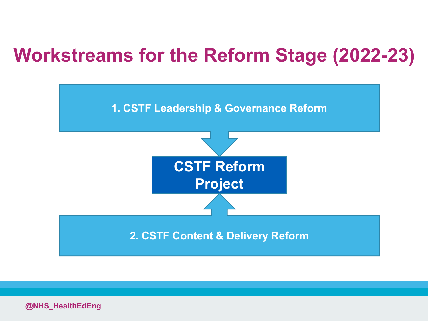### **Workstreams for the Reform Stage (2022-23)**

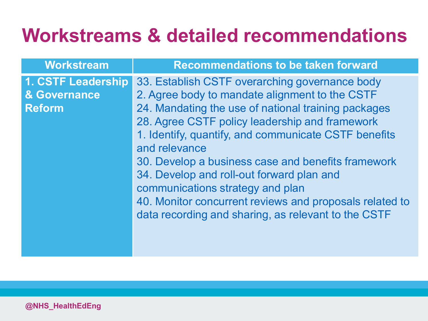| <b>Workstream</b>                                   | <b>Recommendations to be taken forward</b>                                                                                                                                                      |
|-----------------------------------------------------|-------------------------------------------------------------------------------------------------------------------------------------------------------------------------------------------------|
| 1. CSTF Leadership<br>& Governance<br><b>Reform</b> | 33. Establish CSTF overarching governance body<br>2. Agree body to mandate alignment to the CSTF<br>24. Mandating the use of national training packages                                         |
|                                                     | 28. Agree CSTF policy leadership and framework<br>1. Identify, quantify, and communicate CSTF benefits<br>and relevance<br>30. Develop a business case and benefits framework                   |
|                                                     | 34. Develop and roll-out forward plan and<br>communications strategy and plan<br>40. Monitor concurrent reviews and proposals related to<br>data recording and sharing, as relevant to the CSTF |
|                                                     |                                                                                                                                                                                                 |

05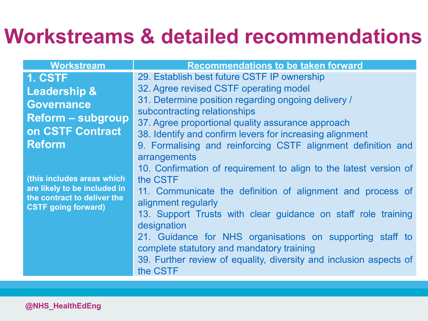| <b>Workstream</b>                                                                                                       | <b>Recommendations to be taken forward</b>                                                                                                                                                                                                                                                                                                                                                                                                                     |
|-------------------------------------------------------------------------------------------------------------------------|----------------------------------------------------------------------------------------------------------------------------------------------------------------------------------------------------------------------------------------------------------------------------------------------------------------------------------------------------------------------------------------------------------------------------------------------------------------|
| 1. CSTF                                                                                                                 | 29. Establish best future CSTF IP ownership                                                                                                                                                                                                                                                                                                                                                                                                                    |
| <b>Leadership &amp;</b>                                                                                                 | 32. Agree revised CSTF operating model                                                                                                                                                                                                                                                                                                                                                                                                                         |
| <b>Governance</b>                                                                                                       | 31. Determine position regarding ongoing delivery /                                                                                                                                                                                                                                                                                                                                                                                                            |
| <b>Reform - subgroup</b>                                                                                                | subcontracting relationships                                                                                                                                                                                                                                                                                                                                                                                                                                   |
| on CSTF Contract                                                                                                        | 37. Agree proportional quality assurance approach                                                                                                                                                                                                                                                                                                                                                                                                              |
| <b>Reform</b>                                                                                                           | 38. Identify and confirm levers for increasing alignment<br>9. Formalising and reinforcing CSTF alignment definition and                                                                                                                                                                                                                                                                                                                                       |
| (this includes areas which<br>are likely to be included in<br>the contract to deliver the<br><b>CSTF</b> going forward) | arrangements<br>10. Confirmation of requirement to align to the latest version of<br>the CSTF<br>11. Communicate the definition of alignment and process of<br>alignment regularly<br>13. Support Trusts with clear guidance on staff role training<br>designation<br>21. Guidance for NHS organisations on supporting staff to<br>complete statutory and mandatory training<br>39. Further review of equality, diversity and inclusion aspects of<br>the CSTF |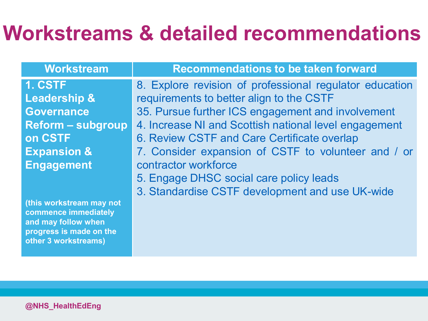| <b>Workstream</b>                                                                                                          | <b>Recommendations to be taken forward</b>              |
|----------------------------------------------------------------------------------------------------------------------------|---------------------------------------------------------|
| 1. CSTF                                                                                                                    | 8. Explore revision of professional regulator education |
| <b>Leadership &amp;</b>                                                                                                    | requirements to better align to the CSTF                |
| <b>Governance</b>                                                                                                          | 35. Pursue further ICS engagement and involvement       |
| <b>Reform - subgroup</b>                                                                                                   | 4. Increase NI and Scottish national level engagement   |
| on CSTF                                                                                                                    | 6. Review CSTF and Care Certificate overlap             |
| <b>Expansion &amp;</b>                                                                                                     | 7. Consider expansion of CSTF to volunteer and / or     |
| <b>Engagement</b>                                                                                                          | contractor workforce                                    |
|                                                                                                                            | 5. Engage DHSC social care policy leads                 |
|                                                                                                                            | 3. Standardise CSTF development and use UK-wide         |
| (this workstream may not<br>commence immediately<br>and may follow when<br>progress is made on the<br>other 3 workstreams) |                                                         |
|                                                                                                                            |                                                         |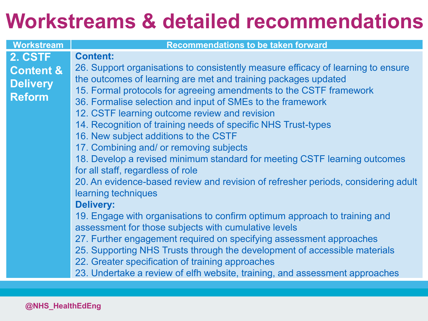| Workstream                                               | <b>Recommendations to be taken forward</b>                                                                                                                                                                                                                                                                                                                                                                                                                                                                                                                                                    |
|----------------------------------------------------------|-----------------------------------------------------------------------------------------------------------------------------------------------------------------------------------------------------------------------------------------------------------------------------------------------------------------------------------------------------------------------------------------------------------------------------------------------------------------------------------------------------------------------------------------------------------------------------------------------|
| 2. CSTF                                                  | <b>Content:</b>                                                                                                                                                                                                                                                                                                                                                                                                                                                                                                                                                                               |
| <b>Content &amp;</b><br><b>Delivery</b><br><b>Reform</b> | 26. Support organisations to consistently measure efficacy of learning to ensure<br>the outcomes of learning are met and training packages updated<br>15. Formal protocols for agreeing amendments to the CSTF framework<br>36. Formalise selection and input of SMEs to the framework<br>12. CSTF learning outcome review and revision<br>14. Recognition of training needs of specific NHS Trust-types<br>16. New subject additions to the CSTF<br>17. Combining and/ or removing subjects<br>18. Develop a revised minimum standard for meeting CSTF learning outcomes                     |
|                                                          | for all staff, regardless of role<br>20. An evidence-based review and revision of refresher periods, considering adult<br>learning techniques<br><b>Delivery:</b><br>19. Engage with organisations to confirm optimum approach to training and<br>assessment for those subjects with cumulative levels<br>27. Further engagement required on specifying assessment approaches<br>25. Supporting NHS Trusts through the development of accessible materials<br>22. Greater specification of training approaches<br>23. Undertake a review of elfh website, training, and assessment approaches |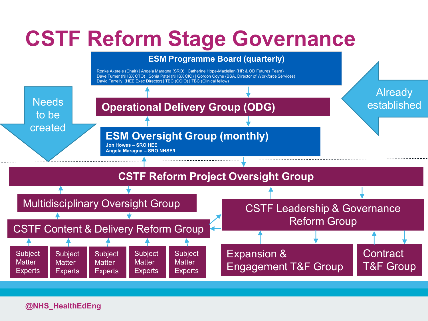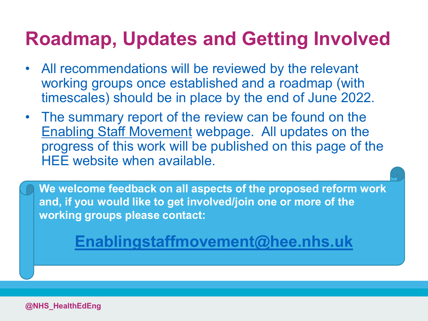### **Roadmap, Updates and Getting Involved**

- All recommendations will be reviewed by the relevant working groups once established and a roadmap (with timescales) should be in place by the end of June 2022.
- The summary report of the review can be found on the [Enabling Staff Movement](https://www.hee.nhs.uk/our-work/doctors-training/enabling-staff-movement-doctors-training) webpage. All updates on the progress of this work will be published on this page of the HEE website when available.

**We welcome feedback on all aspects of the proposed reform work and, if you would like to get involved/join one or more of the working groups please contact:**

**[Enablingstaffmovement@hee.nhs.uk](mailto:enablingstaffmovement@hee.nhs.uk)**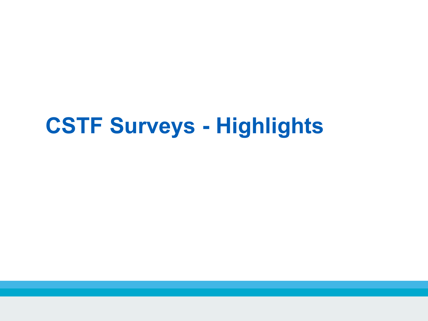### **CSTF Surveys - Highlights**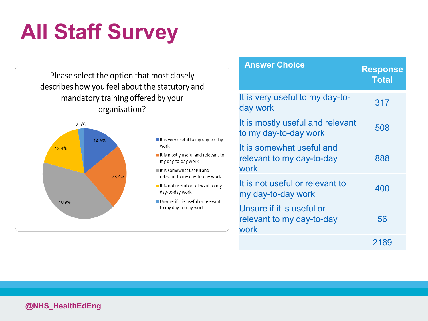# **All Staff Survey**

Please select the option that most closely describes how you feel about the statutory and mandatory training offered by your organisation?



- It is very useful to my day-to-day work
- It is mostly useful and relevant to my day-to-day work
- It is somewhat useful and relevant to my day-to-day work
- It is not useful or relevant to my day-to-day work
- Unsure if it is useful or relevant to my day-to-day work

| <b>Answer Choice</b>                                           | <b>Response</b><br><b>Total</b> |
|----------------------------------------------------------------|---------------------------------|
| It is very useful to my day-to-<br>day work                    | 317                             |
| It is mostly useful and relevant<br>to my day-to-day work      | 508                             |
| It is somewhat useful and<br>relevant to my day-to-day<br>work | 888                             |
| It is not useful or relevant to<br>my day-to-day work          | 400                             |
| Unsure if it is useful or<br>relevant to my day-to-day<br>work | 56                              |
|                                                                | 2169                            |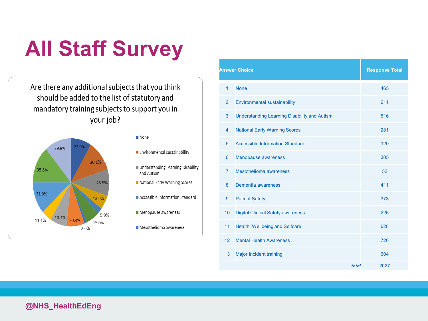# **All Staff Survey**

Are there any additional subjects that you think should be added to the list of statutory and mandatory training subjects to support you in your job?



#### ■ None

Environmental sustainability

- Understanding Learning Disability and Autism
- National Early Warning Scores
- Accessible Information Standard
- Menopause awareness
- Mesothelioma awareness

|                 | <b>Answer Choice</b>                                | <b>Response Total</b> |
|-----------------|-----------------------------------------------------|-----------------------|
| $\overline{1}$  | <b>None</b>                                         | 465                   |
| $\overline{2}$  | <b>Environmental sustainability</b>                 | 611                   |
| 3               | <b>Understanding Learning Disability and Autism</b> | 516                   |
| $\overline{4}$  | <b>National Early Warning Scores</b>                | 281                   |
| 5               | <b>Accessible Information Standard</b>              | 120                   |
| 6               | Menopause awareness                                 | 305                   |
| $\overline{7}$  | Mesothelioma awareness                              | 52                    |
| 8               | Dementia awareness                                  | 411                   |
| 9               | <b>Patient Safety</b>                               | 373                   |
| 10 <sup>°</sup> | <b>Digital Clinical Safety awareness</b>            | 226                   |
| 11              | Health, Wellbeing and Selfcare                      | 628                   |
| 12 <sup>2</sup> | <b>Mental Health Awareness</b>                      | 726                   |
| 13              | Major incident training                             | 604                   |
|                 | total                                               | 2027                  |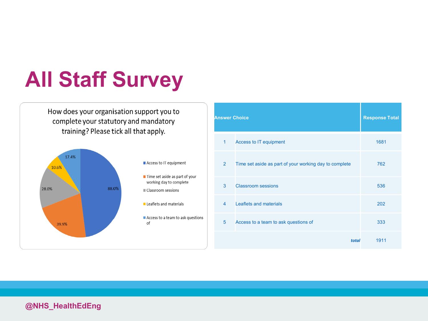## **All Staff Survey**

How does your organisation support you to complete your statutory and mandatory training? Please tick all that apply.



| <b>Answer Choice</b> | <b>Response Total</b>                                  |      |
|----------------------|--------------------------------------------------------|------|
| 1                    | <b>Access to IT equipment</b>                          | 1681 |
| $\overline{2}$       | Time set aside as part of your working day to complete | 762  |
| 3                    | <b>Classroom sessions</b>                              | 536  |
| $\overline{4}$       | Leaflets and materials                                 | 202  |
| 5                    | Access to a team to ask questions of                   | 333  |
|                      | total                                                  | 1911 |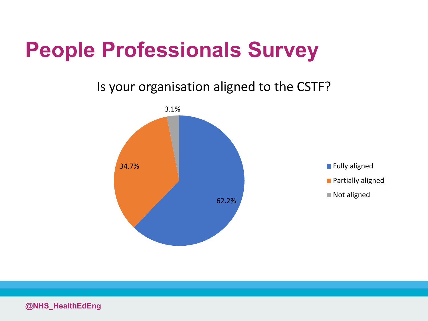### Is your organisation aligned to the CSTF?



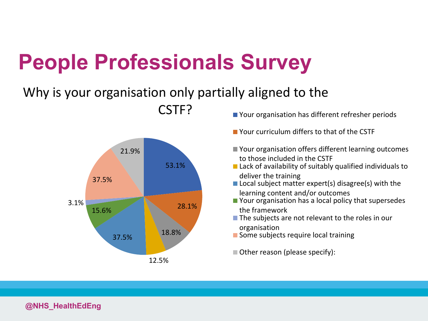### Why is your organisation only partially aligned to the



- CSTF? Your organisation has different refresher periods
	- Your curriculum differs to that of the CSTF
	- Your organisation offers different learning outcomes to those included in the CSTF
	- Lack of availability of suitably qualified individuals to deliver the training
	- $\blacksquare$  Local subject matter expert(s) disagree(s) with the learning content and/or outcomes
	- Your organisation has a local policy that supersedes the framework
	- The subjects are not relevant to the roles in our organisation
	- Some subjects require local training
	- Other reason (please specify):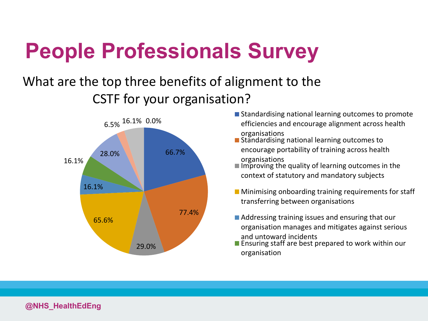### What are the top three benefits of alignment to the CSTF for your organisation?



- Standardising national learning outcomes to promote efficiencies and encourage alignment across health organisations
- Standardising national learning outcomes to encourage portability of training across health organisations
- $\blacksquare$  Improving the quality of learning outcomes in the context of statutory and mandatory subjects
- $\blacksquare$  Minimising onboarding training requirements for staff transferring between organisations
- Addressing training issues and ensuring that our organisation manages and mitigates against serious and untoward incidents
- **Ensuring staff are best prepared to work within our** organisation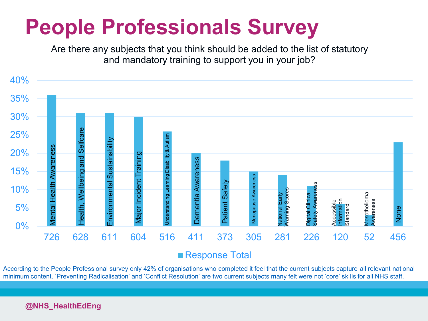Are there any subjects that you think should be added to the list of statutory and mandatory training to support you in your job?



■ Response Total

According to the People Professional survey only 42% of organisations who completed it feel that the current subjects capture all relevant national minimum content. 'Preventing Radicalisation' and 'Conflict Resolution' are two current subjects many felt were not 'core' skills for all NHS staff.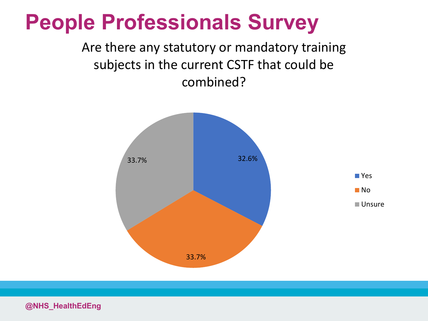

Are there any statutory or mandatory training subjects in the current CSTF that could be combined?

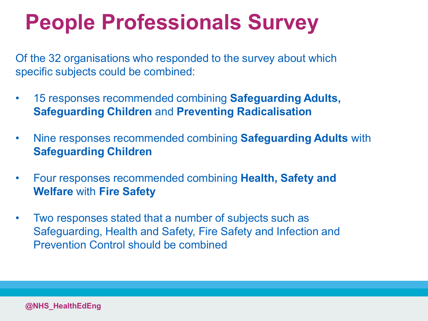Of the 32 organisations who responded to the survey about which specific subjects could be combined:

- 15 responses recommended combining **Safeguarding Adults, Safeguarding Children** and **Preventing Radicalisation**
- Nine responses recommended combining **Safeguarding Adults** with **Safeguarding Children** 33%
- Four responses recommended combining **Health, Safety and Welfare** with **Fire Safety**
- Two responses stated that a number of subjects such as Safeguarding, Health and Safety, Fire Safety and Infection and Prevention Control should be combined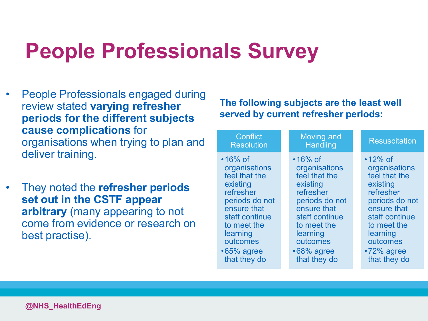- People Professionals engaged during review stated **varying refresher periods for the different subjects cause complications** for organisations when trying to plan and deliver training.
- They noted the **refresher periods set out in the CSTF appear arbitrary** (many appearing to not come from evidence or research on best practise).

### **The following subjects are the least well served by current refresher periods:**

| Conflict<br><b>Resolution</b>                                                                                                                                                                             | <b>Moving and</b><br>Handling                                                                                                                                                                             | <b>Resuscitation</b>                                                                                                                                                                                     |
|-----------------------------------------------------------------------------------------------------------------------------------------------------------------------------------------------------------|-----------------------------------------------------------------------------------------------------------------------------------------------------------------------------------------------------------|----------------------------------------------------------------------------------------------------------------------------------------------------------------------------------------------------------|
| $\cdot$ 16% of<br>organisations<br>feel that the<br>existing<br>refresher<br>periods do not<br>ensure that<br>staff continue<br>to meet the<br>learning<br>outcomes<br>$\cdot 65\%$ agree<br>that they do | $\cdot$ 16% of<br>organisations<br>feel that the<br>existing<br>refresher<br>periods do not<br>ensure that<br>staff continue<br>to meet the<br>learning<br>outcomes<br>$\cdot 68\%$ agree<br>that they do | $\cdot$ 12% of<br>organisations<br>feel that the<br>existing<br>refresher<br>periods do not<br>ensure that<br>staff continue<br>to meet the<br>learning<br>outcomes<br>$\cdot$ 72% agree<br>that they do |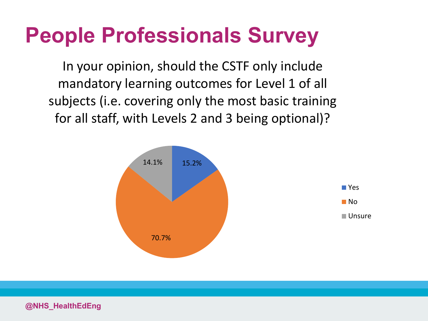In your opinion, should the CSTF only include mandatory learning outcomes for Level 1 of all subjects (i.e. covering only the most basic training for all staff, with Levels 2 and 3 being optional)?

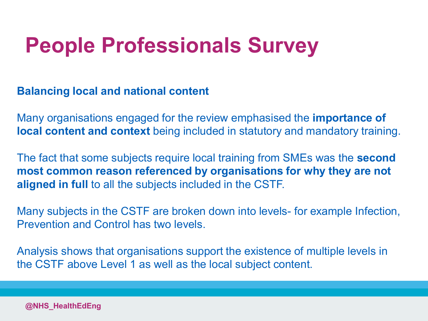**Balancing local and national content** 

Many organisations engaged for the review emphasised the **importance of local content and context** being included in statutory and mandatory training.

The fact that some subjects require local training from SMEs was the **second most common reason referenced by organisations for why they are not aligned in full** to all the subjects included in the CSTF.

Many subjects in the CSTF are broken down into levels- for example Infection, Prevention and Control has two levels.

Analysis shows that organisations support the existence of multiple levels in the CSTF above Level 1 as well as the local subject content.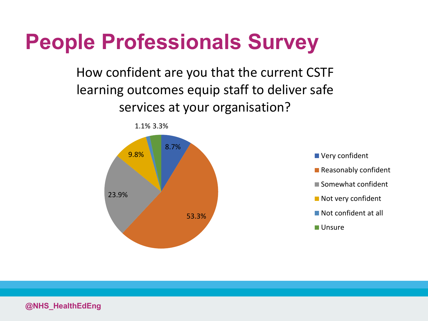How confident are you that the current CSTF learning outcomes equip staff to deliver safe services at your organisation?